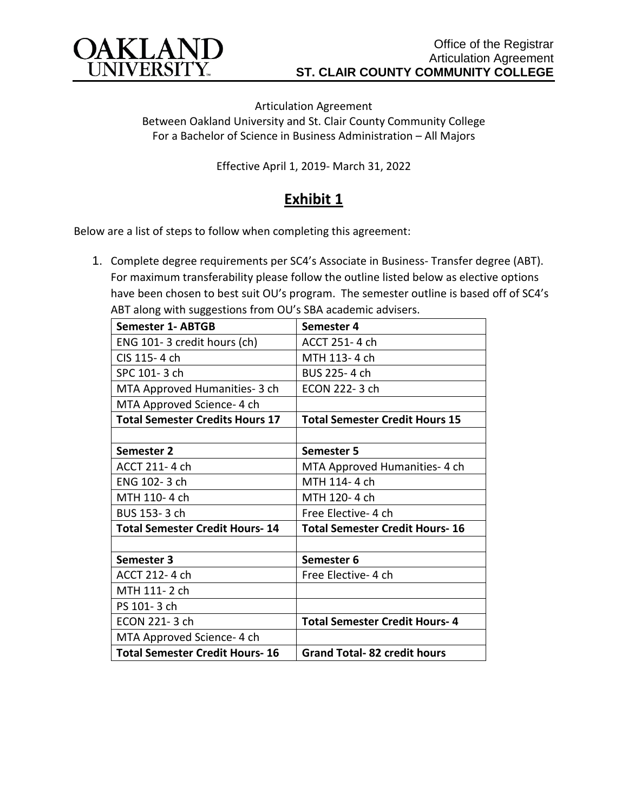

Articulation Agreement Between Oakland University and St. Clair County Community College For a Bachelor of Science in Business Administration – All Majors

Effective April 1, 2019- March 31, 2022

## **Exhibit 1**

Below are a list of steps to follow when completing this agreement:

1. Complete degree requirements per SC4's Associate in Business- Transfer degree (ABT). For maximum transferability please follow the outline listed below as elective options have been chosen to best suit OU's program. The semester outline is based off of SC4's ABT along with suggestions from OU's SBA academic advisers.

| <b>Semester 1- ABTGB</b>               | Semester 4                            |
|----------------------------------------|---------------------------------------|
| ENG 101-3 credit hours (ch)            | ACCT 251-4 ch                         |
| CIS 115-4 ch                           | MTH 113-4 ch                          |
| SPC 101-3 ch                           | BUS 225-4 ch                          |
| MTA Approved Humanities- 3 ch          | ECON 222-3 ch                         |
| MTA Approved Science- 4 ch             |                                       |
| <b>Total Semester Credits Hours 17</b> | <b>Total Semester Credit Hours 15</b> |
|                                        |                                       |
| Semester 2                             | Semester 5                            |
| ACCT 211-4 ch                          | MTA Approved Humanities- 4 ch         |
| ENG 102-3 ch                           | MTH 114-4 ch                          |
| MTH 110-4 ch                           | MTH 120-4 ch                          |
| BUS 153-3 ch                           | Free Elective- 4 ch                   |
| <b>Total Semester Credit Hours-14</b>  | <b>Total Semester Credit Hours-16</b> |
|                                        |                                       |
| Semester 3                             | Semester 6                            |
| ACCT 212-4 ch                          | Free Elective-4 ch                    |
| MTH 111-2 ch                           |                                       |
| PS 101-3 ch                            |                                       |
| ECON 221-3 ch                          | <b>Total Semester Credit Hours-4</b>  |
| MTA Approved Science- 4 ch             |                                       |
| <b>Total Semester Credit Hours-16</b>  | <b>Grand Total-82 credit hours</b>    |